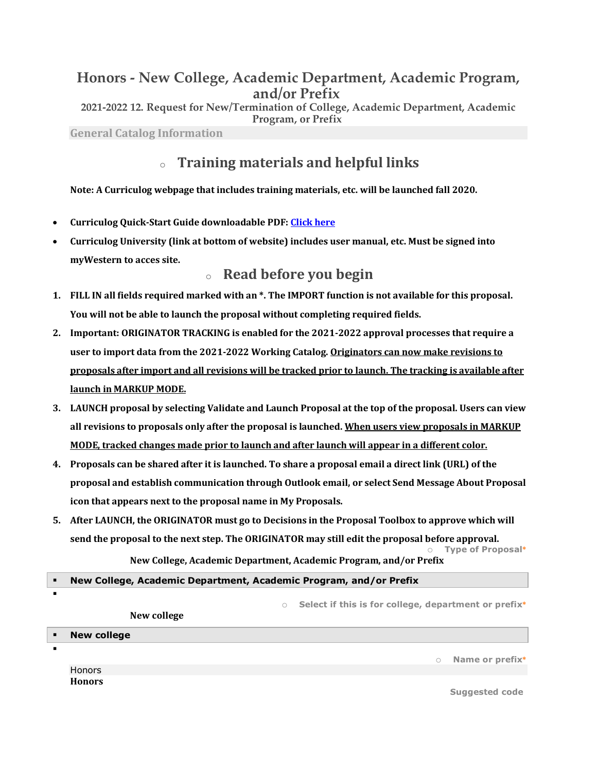## **Honors - New College, Academic Department, Academic Program, and/or Prefix**

**2021-2022 12. Request for New/Termination of College, Academic Department, Academic Program, or Prefix**

**General Catalog Information**

§

# <sup>o</sup> **Training materials and helpful links**

**Note:** A Curriculog webpage that includes training materials, etc. will be launched fall 2020.

- **Curriculog Quick-Start Guide downloadable PDF: Click here**
- **Curriculog University (link at bottom of website) includes user manual, etc. Must be signed into myWestern to acces site.**

## <sup>o</sup> **Read before you begin**

- **1.** FILL IN all fields required marked with an \*. The IMPORT function is not available for this proposal. You will not be able to launch the proposal without completing required fields.
- 2. Important: ORIGINATOR TRACKING is enabled for the 2021-2022 approval processes that require a **user to import data from the 2021-2022 Working Catalog. Originators can now make revisions to proposals after import and all revisions will be tracked prior to launch. The tracking is available after launch in MARKUP MODE.**
- **3.** LAUNCH proposal by selecting Validate and Launch Proposal at the top of the proposal. Users can view **all revisions to proposals only after the proposal is launched. When users view proposals in MARKUP MODE, tracked changes made prior to launch and after launch will appear in a different color.**
- **4.** Proposals can be shared after it is launched. To share a proposal email a direct link (URL) of the proposal and establish communication through Outlook email, or select Send Message About Proposal icon that appears next to the proposal name in My Proposals.
- 5. After LAUNCH, the ORIGINATOR must go to Decisions in the Proposal Toolbox to approve which will send the proposal to the next step. The ORIGINATOR may still edit the proposal before approval. o **Type of Proposal\***

 $\bf$  New College, Academic Department, Academic Program, and/or Prefix

### § **New College, Academic Department, Academic Program, and/or Prefix**

|                | New college        | $\circ$ | Select if this is for college, department or prefix <sup>*</sup> |
|----------------|--------------------|---------|------------------------------------------------------------------|
| $\blacksquare$ | <b>New college</b> |         |                                                                  |
|                |                    |         | Name or prefix*<br>$\circ$                                       |
|                | <b>Honors</b>      |         |                                                                  |
|                | <b>Honors</b>      |         | <b>Suggested code</b>                                            |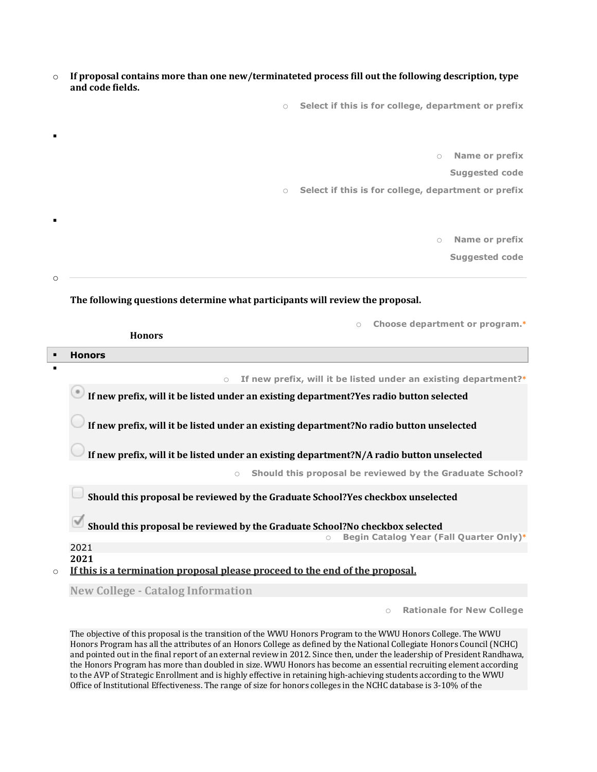| $\circ$ If proposal contains more than one new/terminateted process fill out the following description, type |
|--------------------------------------------------------------------------------------------------------------|
| and code fields.                                                                                             |

o **Select if this is for college, department or prefix**

o **Name or prefix**

**Suggested code**

o **Select if this is for college, department or prefix**

o **Name or prefix**

**Suggested code**

o

§

§

### **The following questions determine what participants will review the proposal.**

|                                                                                         | Choose department or program.*<br>$\bigcirc$                                              |  |  |  |  |  |  |  |
|-----------------------------------------------------------------------------------------|-------------------------------------------------------------------------------------------|--|--|--|--|--|--|--|
|                                                                                         | <b>Honors</b>                                                                             |  |  |  |  |  |  |  |
|                                                                                         | <b>Honors</b>                                                                             |  |  |  |  |  |  |  |
| ٠                                                                                       |                                                                                           |  |  |  |  |  |  |  |
|                                                                                         | If new prefix, will it be listed under an existing department?*<br>$\bigcirc$             |  |  |  |  |  |  |  |
| If new prefix, will it be listed under an existing department?Yes radio button selected |                                                                                           |  |  |  |  |  |  |  |
|                                                                                         | If new prefix, will it be listed under an existing department?No radio button unselected  |  |  |  |  |  |  |  |
|                                                                                         | If new prefix, will it be listed under an existing department?N/A radio button unselected |  |  |  |  |  |  |  |
|                                                                                         | Should this proposal be reviewed by the Graduate School?                                  |  |  |  |  |  |  |  |
|                                                                                         | Should this proposal be reviewed by the Graduate School?Yes checkbox unselected           |  |  |  |  |  |  |  |
|                                                                                         | Should this proposal be reviewed by the Graduate School?No checkbox selected              |  |  |  |  |  |  |  |
|                                                                                         | Begin Catalog Year (Fall Quarter Only)*<br>$\bigcirc$                                     |  |  |  |  |  |  |  |
|                                                                                         | 2021                                                                                      |  |  |  |  |  |  |  |
|                                                                                         | 2021                                                                                      |  |  |  |  |  |  |  |
| $\circ$                                                                                 | If this is a termination proposal please proceed to the end of the proposal.              |  |  |  |  |  |  |  |

**New College - Catalog Information**

o **Rationale for New College**

The objective of this proposal is the transition of the WWU Honors Program to the WWU Honors College. The WWU Honors Program has all the attributes of an Honors College as defined by the National Collegiate Honors Council (NCHC) and pointed out in the final report of an external review in 2012. Since then, under the leadership of President Randhawa, the Honors Program has more than doubled in size. WWU Honors has become an essential recruiting element according to the AVP of Strategic Enrollment and is highly effective in retaining high-achieving students according to the WWU Office of Institutional Effectiveness. The range of size for honors colleges in the NCHC database is 3-10% of the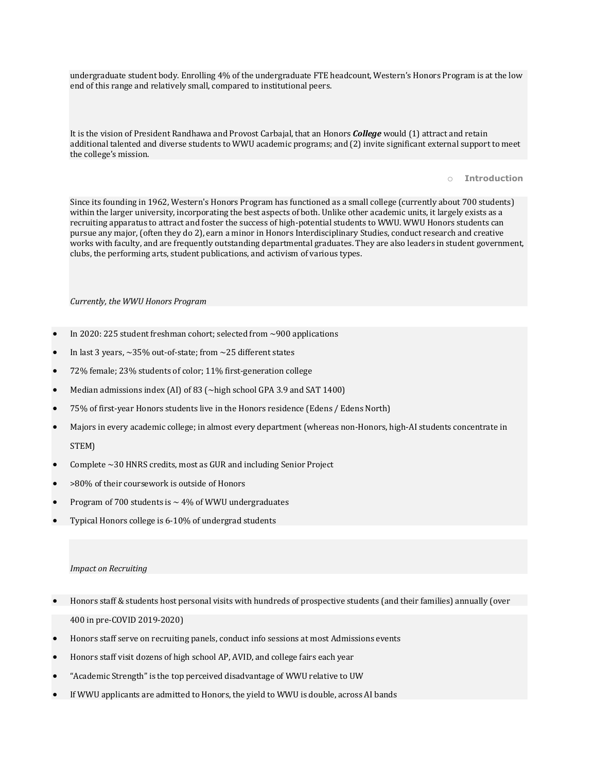undergraduate student body. Enrolling 4% of the undergraduate FTE headcount, Western's Honors Program is at the low end of this range and relatively small, compared to institutional peers.

It is the vision of President Randhawa and Provost Carbajal, that an Honors *College* would (1) attract and retain additional talented and diverse students to WWU academic programs; and (2) invite significant external support to meet the college's mission.

#### o **Introduction**

Since its founding in 1962, Western's Honors Program has functioned as a small college (currently about 700 students) within the larger university, incorporating the best aspects of both. Unlike other academic units, it largely exists as a recruiting apparatus to attract and foster the success of high-potential students to WWU. WWU Honors students can pursue any major, (often they do 2), earn a minor in Honors Interdisciplinary Studies, conduct research and creative works with faculty, and are frequently outstanding departmental graduates. They are also leaders in student government, clubs, the performing arts, student publications, and activism of various types.

#### *Currently, the WWU Honors Program*

- In 2020: 225 student freshman cohort; selected from  $\sim$ 900 applications
- In last 3 years,  $\sim$  35% out-of-state; from  $\sim$  25 different states
- 72% female; 23% students of color; 11% first-generation college
- Median admissions index (AI) of 83 ( $\sim$ high school GPA 3.9 and SAT 1400)
- 75% of first-year Honors students live in the Honors residence (Edens / Edens North)
- Majors in every academic college; in almost every department (whereas non-Honors, high-AI students concentrate in STEM)
- Complete ~30 HNRS credits, most as GUR and including Senior Project
- >80% of their coursework is outside of Honors
- Program of 700 students is  $\sim$  4% of WWU undergraduates
- Typical Honors college is 6-10% of undergrad students

#### *Impact on Recruiting*

- Honors staff & students host personal visits with hundreds of prospective students (and their families) annually (over 400 in pre-COVID 2019-2020)
- Honors staff serve on recruiting panels, conduct info sessions at most Admissions events
- Honors staff visit dozens of high school AP, AVID, and college fairs each year
- "Academic Strength" is the top perceived disadvantage of WWU relative to UW
- If WWU applicants are admitted to Honors, the yield to WWU is double, across AI bands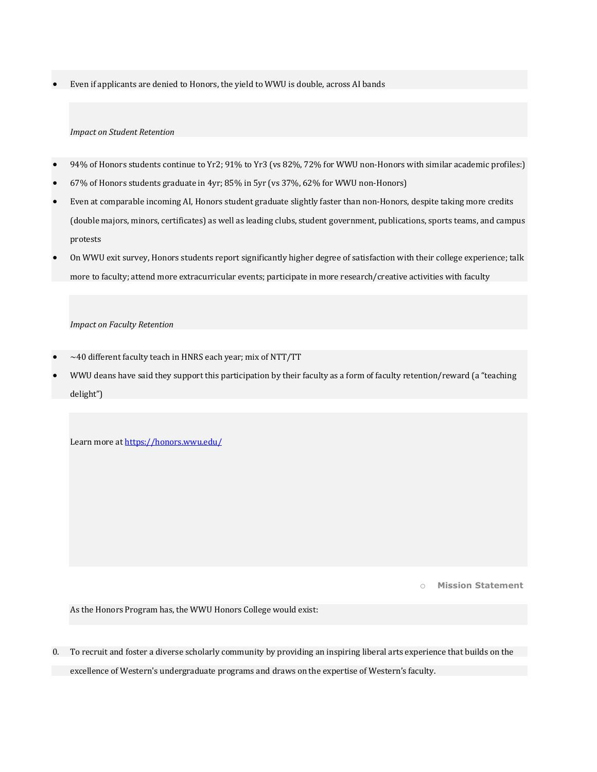Even if applicants are denied to Honors, the yield to WWU is double, across AI bands

#### *Impact on Student Retention*

- 94% of Honors students continue to Yr2; 91% to Yr3 (vs 82%, 72% for WWU non-Honors with similar academic profiles:)
- 67% of Honors students graduate in 4yr; 85% in 5yr (vs 37%, 62% for WWU non-Honors)
- Even at comparable incoming AI, Honors student graduate slightly faster than non-Honors, despite taking more credits (double majors, minors, certificates) as well as leading clubs, student government, publications, sports teams, and campus protests
- On WWU exit survey, Honors students report significantly higher degree of satisfaction with their college experience; talk more to faculty; attend more extracurricular events; participate in more research/creative activities with faculty

#### *Impact on Faculty Retention*

- $\sim$  40 different faculty teach in HNRS each year; mix of NTT/TT
- WWU deans have said they support this participation by their faculty as a form of faculty retention/reward (a "teaching delight")

Learn more at https://honors.wwu.edu/

o **Mission Statement**

As the Honors Program has, the WWU Honors College would exist:

0. To recruit and foster a diverse scholarly community by providing an inspiring liberal arts experience that builds on the excellence of Western's undergraduate programs and draws on the expertise of Western's faculty.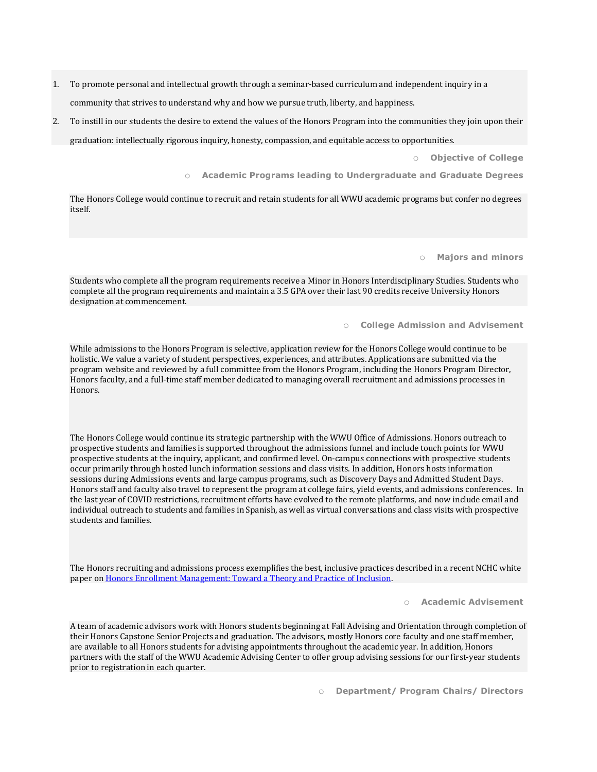- 1. To promote personal and intellectual growth through a seminar-based curriculum and independent inquiry in a community that strives to understand why and how we pursue truth, liberty, and happiness.
- 2. To instill in our students the desire to extend the values of the Honors Program into the communities they join upon their graduation: intellectually rigorous inquiry, honesty, compassion, and equitable access to opportunities.

o **Objective of College**

o **Academic Programs leading to Undergraduate and Graduate Degrees**

The Honors College would continue to recruit and retain students for all WWU academic programs but confer no degrees itself.

o **Majors and minors**

Students who complete all the program requirements receive a Minor in Honors Interdisciplinary Studies. Students who complete all the program requirements and maintain a 3.5 GPA over their last 90 credits receive University Honors designation at commencement.

o **College Admission and Advisement**

While admissions to the Honors Program is selective, application review for the Honors College would continue to be holistic. We value a variety of student perspectives, experiences, and attributes. Applications are submitted via the program website and reviewed by a full committee from the Honors Program, including the Honors Program Director, Honors faculty, and a full-time staff member dedicated to managing overall recruitment and admissions processes in Honors.

The Honors College would continue its strategic partnership with the WWU Office of Admissions. Honors outreach to prospective students and families is supported throughout the admissions funnel and include touch points for WWU prospective students at the inquiry, applicant, and confirmed level. On-campus connections with prospective students occur primarily through hosted lunch information sessions and class visits. In addition, Honors hosts information sessions during Admissions events and large campus programs, such as Discovery Days and Admitted Student Days. Honors staff and faculty also travel to represent the program at college fairs, yield events, and admissions conferences. In the last year of COVID restrictions, recruitment efforts have evolved to the remote platforms, and now include email and individual outreach to students and families in Spanish, as well as virtual conversations and class visits with prospective students and families.

The Honors recruiting and admissions process exemplifies the best, inclusive practices described in a recent NCHC white paper on Honors Enrollment Management: Toward a Theory and Practice of Inclusion.

o **Academic Advisement**

A team of academic advisors work with Honors students beginning at Fall Advising and Orientation through completion of their Honors Capstone Senior Projects and graduation. The advisors, mostly Honors core faculty and one staff member, are available to all Honors students for advising appointments throughout the academic year. In addition, Honors partners with the staff of the WWU Academic Advising Center to offer group advising sessions for our first-year students prior to registration in each quarter.

o **Department/ Program Chairs/ Directors**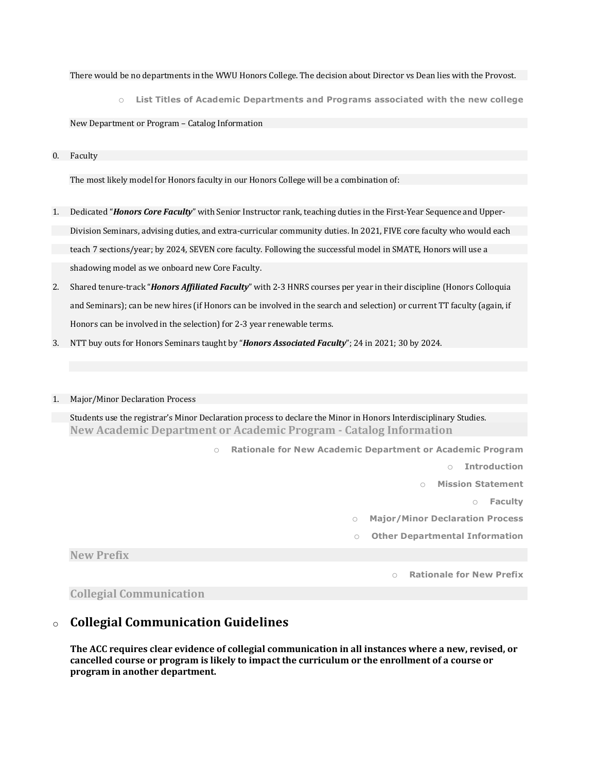#### There would be no departments in the WWU Honors College. The decision about Director vs Dean lies with the Provost.

o **List Titles of Academic Departments and Programs associated with the new college**

New Department or Program - Catalog Information

0. Faculty

The most likely model for Honors faculty in our Honors College will be a combination of:

- 1. Dedicated "*Honors Core Faculty*" with Senior Instructor rank, teaching duties in the First-Year Sequence and Upper-Division Seminars, advising duties, and extra-curricular community duties. In 2021, FIVE core faculty who would each teach 7 sections/year; by 2024, SEVEN core faculty. Following the successful model in SMATE, Honors will use a shadowing model as we onboard new Core Faculty.
- 2. Shared tenure-track "*Honors Affiliated Faculty*" with 2-3 HNRS courses per year in their discipline (Honors Colloquia and Seminars); can be new hires (if Honors can be involved in the search and selection) or current TT faculty (again, if Honors can be involved in the selection) for 2-3 year renewable terms.
- 3. NTT buy outs for Honors Seminars taught by "**Honors Associated Faculty**"; 24 in 2021; 30 by 2024.

#### 1. Major/Minor Declaration Process

Students use the registrar's Minor Declaration process to declare the Minor in Honors Interdisciplinary Studies. **New Academic Department or Academic Program - Catalog Information**

> o **Rationale for New Academic Department or Academic Program** o **Introduction Mission Statement** o **Faculty** o **Major/Minor Declaration Process** o **Other Departmental Information Rationale for New Prefix**

**Collegial Communication**

**New Prefix**

### o **Collegial Communication Guidelines**

**The ACC requires clear evidence of collegial communication in all instances where a new, revised, or cancelled course or program is likely to impact the curriculum or the enrollment of a course or program in another department.**